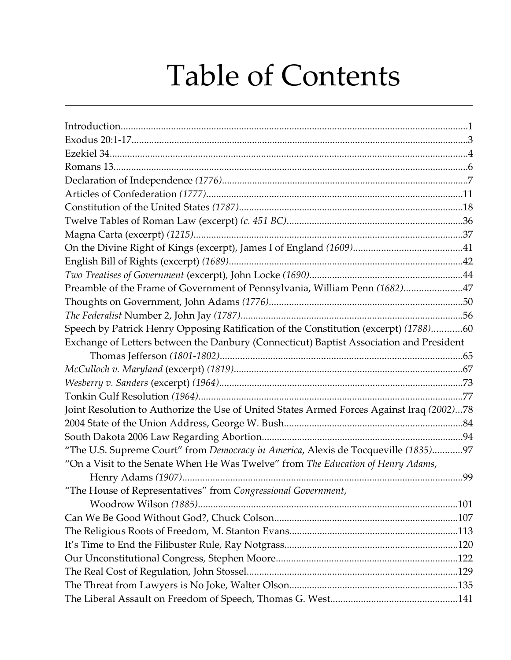## Table of Contents

| Preamble of the Frame of Government of Pennsylvania, William Penn (1682)47                |  |
|-------------------------------------------------------------------------------------------|--|
|                                                                                           |  |
|                                                                                           |  |
| Speech by Patrick Henry Opposing Ratification of the Constitution (excerpt) (1788)60      |  |
| Exchange of Letters between the Danbury (Connecticut) Baptist Association and President   |  |
|                                                                                           |  |
|                                                                                           |  |
|                                                                                           |  |
|                                                                                           |  |
| Joint Resolution to Authorize the Use of United States Armed Forces Against Iraq (2002)78 |  |
|                                                                                           |  |
|                                                                                           |  |
| "The U.S. Supreme Court" from Democracy in America, Alexis de Tocqueville (1835)97        |  |
| "On a Visit to the Senate When He Was Twelve" from The Education of Henry Adams,          |  |
|                                                                                           |  |
| "The House of Representatives" from Congressional Government,                             |  |
|                                                                                           |  |
|                                                                                           |  |
|                                                                                           |  |
|                                                                                           |  |
|                                                                                           |  |
|                                                                                           |  |
|                                                                                           |  |
|                                                                                           |  |